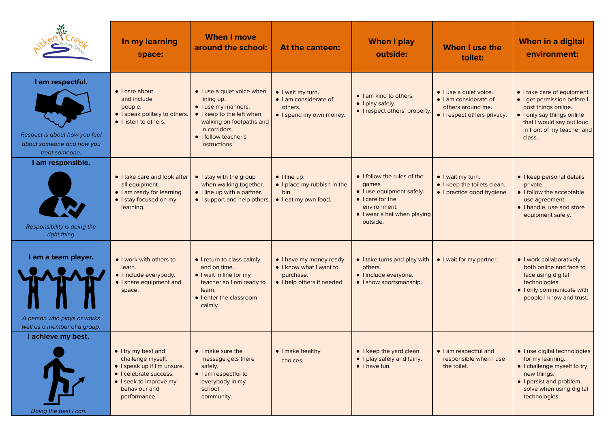|                                                                                                  | In my learning<br>space:                                                                                                                                     | <b>When I move</b><br>around the school:                                                                                                                                           | At the canteen:                                                                                | <b>When I play</b><br>outside:                                                                                                                            | When I use the<br>toilet:                                                                           | When in a digital<br>environment:                                                                                                                                                    |
|--------------------------------------------------------------------------------------------------|--------------------------------------------------------------------------------------------------------------------------------------------------------------|------------------------------------------------------------------------------------------------------------------------------------------------------------------------------------|------------------------------------------------------------------------------------------------|-----------------------------------------------------------------------------------------------------------------------------------------------------------|-----------------------------------------------------------------------------------------------------|--------------------------------------------------------------------------------------------------------------------------------------------------------------------------------------|
| I am respectful.<br>Respect is about how you feel<br>about someone and how you<br>treat someone. | $\bullet$   care about<br>and include<br>people.<br>• I speak politely to others.<br>· I listen to others.                                                   | • I use a quiet voice when<br>lining up.<br>• I use my manners.<br>• I keep to the left when<br>walking on footpaths and<br>in corridors.<br>• I follow teacher's<br>instructions. | • I wait my turn.<br>· I am considerate of<br>others.<br>• I spend my own money.               | • I am kind to others.<br>• I play safely.<br>• I respect others' property                                                                                | · I use a quiet voice.<br>· I am considerate of<br>others around me.<br>• I respect others privacy. | • I take care of equipment.<br>· I get permission before I<br>post things online.<br>• I only say things online<br>that I would say out loud<br>in front of my teacher and<br>class. |
| I am responsible.<br>Responsibility is doing the<br>right thing.                                 | • I take care and look after<br>all equipment.<br>• I am ready for learning.<br>• I stay focused on my<br>learning.                                          | • I stay with the group<br>when walking together.<br>• I line up with a partner.<br>• I support and help others.                                                                   | $\bullet$ I line up.<br>• I place my rubbish in the<br>bin.<br>· I eat my own food.            | • I follow the rules of the<br>games.<br>· I use equipment safely.<br>$\bullet$ I care for the<br>environment.<br>• I wear a hat when playing<br>outside. | $\bullet$ I wait my turn.<br>• I keep the toilets clean.<br>• I practice good hygiene.              | • I keep personal details<br>private.<br>• I follow the acceptable<br>use agreement.<br>• I handle, use and store<br>equipment safely.                                               |
| I am a team player.<br>A person who plays or works<br>well as a member of a group.               | • I work with others to<br>learn.<br>· I include everybody.<br>• I share equipment and<br>space.                                                             | • I return to class calmly<br>and on time.<br>• I wait in line for my<br>teacher so I am ready to<br>learn.<br>• I enter the classroom<br>calmly.                                  | • I have my money ready.<br>• I know what I want to<br>purchase.<br>• I help others if needed. | • I take turns and play with<br>others.<br>· I include everyone.<br>• I show sportsmanship.                                                               | • I wait for my partner.                                                                            | • I work collaboratively<br>both online and face to<br>face using digital<br>technologies.<br>• I only communicate with<br>people I know and trust.                                  |
| I achieve my best.<br>Doing the best I can.                                                      | • I try my best and<br>challenge myself.<br>• I speak up if I'm unsure.<br>• I celebrate success.<br>• I seek to improve my<br>behaviour and<br>performance. | • I make sure the<br>message gets there<br>safely.<br>· I am respectful to<br>everybody in my<br>school<br>community.                                                              | • I make healthy<br>choices.                                                                   | • I keep the yard clean.<br>• I play safely and fairly.<br>$\bullet$ I have fun.                                                                          | · I am respectful and<br>responsible when I use<br>the toilet.                                      | · I use digital technologies<br>for my learning.<br>• I challenge myself to try<br>new things.<br>• I persist and problem<br>solve when using digital<br>technologies.               |